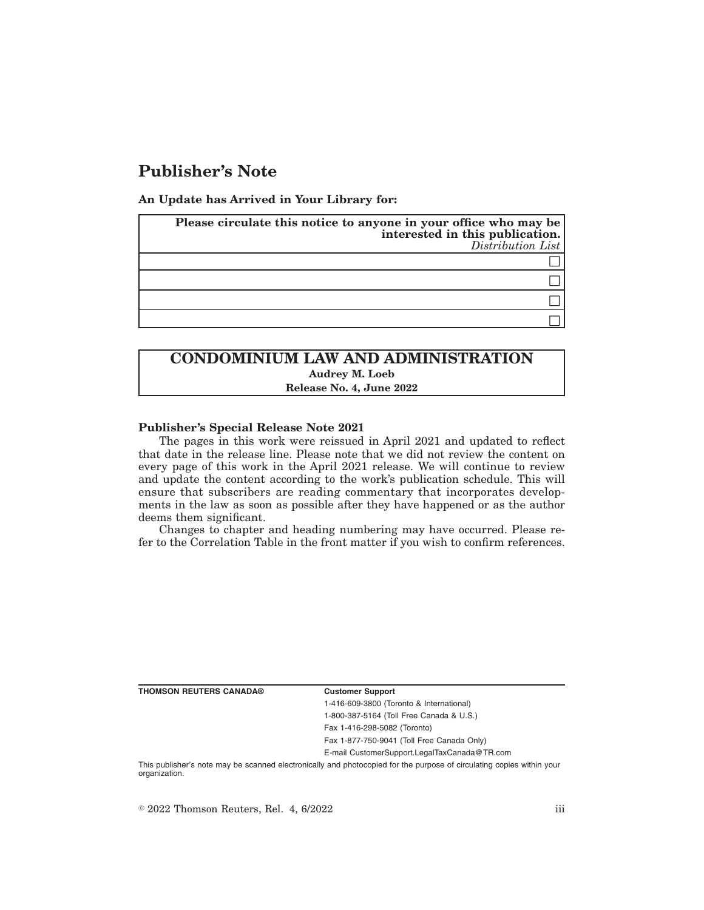# **Publisher's Note**

**An Update has Arrived in Your Library for:**

| Please circulate this notice to anyone in your office who may be<br>interested in this publication.<br>$Distriolution$ List |
|-----------------------------------------------------------------------------------------------------------------------------|
|                                                                                                                             |
|                                                                                                                             |
|                                                                                                                             |
|                                                                                                                             |

# **CONDOMINIUM LAW AND ADMINISTRATION Audrey M. Loeb Release No. 4, June 2022**

### **Publisher's Special Release Note 2021**

The pages in this work were reissued in April 2021 and updated to reflect that date in the release line. Please note that we did not review the content on every page of this work in the April 2021 release. We will continue to review and update the content according to the work's publication schedule. This will ensure that subscribers are reading commentary that incorporates developments in the law as soon as possible after they have happened or as the author deems them significant.

Changes to chapter and heading numbering may have occurred. Please refer to the Correlation Table in the front matter if you wish to confirm references.

**THOMSON REUTERS CANADA® Customer Support**

1-416-609-3800 (Toronto & International) 1-800-387-5164 (Toll Free Canada & U.S.) Fax 1-416-298-5082 (Toronto)

Fax 1-877-750-9041 (Toll Free Canada Only)

E-mail CustomerSupport.LegalTaxCanada@TR.com

This publisher's note may be scanned electronically and photocopied for the purpose of circulating copies within your organization.

 $\degree$  2022 Thomson Reuters, Rel. 4, 6/2022 iii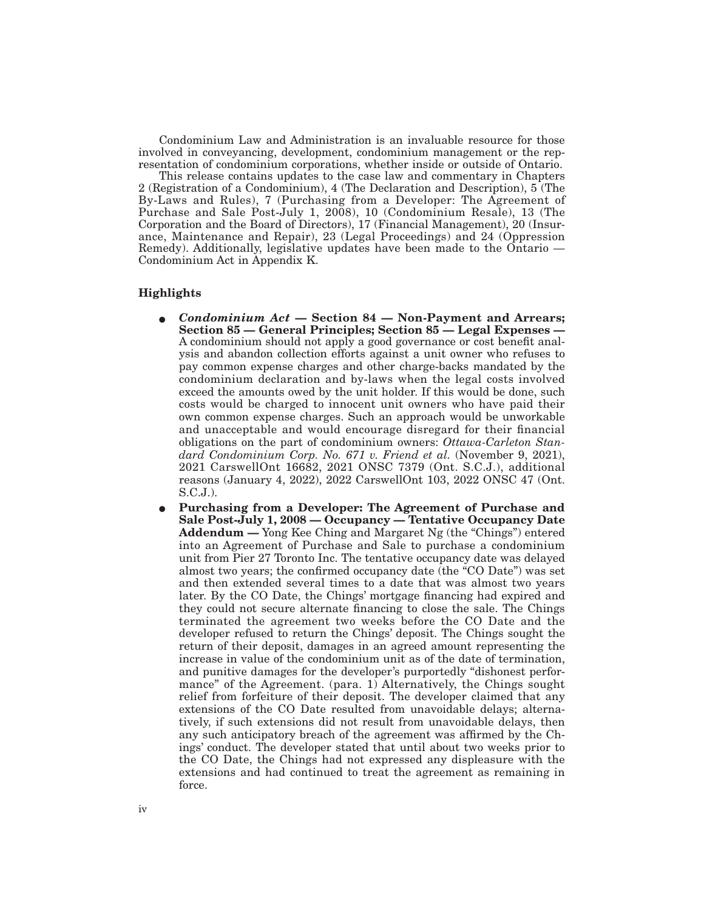Condominium Law and Administration is an invaluable resource for those involved in conveyancing, development, condominium management or the representation of condominium corporations, whether inside or outside of Ontario.

This release contains updates to the case law and commentary in Chapters 2 (Registration of a Condominium), 4 (The Declaration and Description), 5 (The By-Laws and Rules), 7 (Purchasing from a Developer: The Agreement of Purchase and Sale Post-July 1, 2008), 10 (Condominium Resale), 13 (The Corporation and the Board of Directors), 17 (Financial Management), 20 (Insurance, Maintenance and Repair), 23 (Legal Proceedings) and 24 (Oppression Remedy). Additionally, legislative updates have been made to the Ontario — Condominium Act in Appendix K.

### **Highlights**

- E *Condominium Act*  **Section 84 Non-Payment and Arrears; Section 85 — General Principles; Section 85 — Legal Expenses —** A condominium should not apply a good governance or cost benefit analysis and abandon collection efforts against a unit owner who refuses to pay common expense charges and other charge-backs mandated by the condominium declaration and by-laws when the legal costs involved exceed the amounts owed by the unit holder. If this would be done, such costs would be charged to innocent unit owners who have paid their own common expense charges. Such an approach would be unworkable and unacceptable and would encourage disregard for their financial obligations on the part of condominium owners: *Ottawa-Carleton Standard Condominium Corp. No. 671 v. Friend et al.* (November 9, 2021), 2021 CarswellOnt 16682, 2021 ONSC 7379 (Ont. S.C.J.), additional reasons (January 4, 2022), 2022 CarswellOnt 103, 2022 ONSC 47 (Ont. S.C.J.).
- E **Purchasing from a Developer: The Agreement of Purchase and Sale Post-July 1, 2008 — Occupancy — Tentative Occupancy Date Addendum —** Yong Kee Ching and Margaret Ng (the "Chings") entered into an Agreement of Purchase and Sale to purchase a condominium unit from Pier 27 Toronto Inc. The tentative occupancy date was delayed almost two years; the confirmed occupancy date (the "CO Date") was set and then extended several times to a date that was almost two years later. By the CO Date, the Chings' mortgage financing had expired and they could not secure alternate financing to close the sale. The Chings terminated the agreement two weeks before the CO Date and the developer refused to return the Chings' deposit. The Chings sought the return of their deposit, damages in an agreed amount representing the increase in value of the condominium unit as of the date of termination, and punitive damages for the developer's purportedly "dishonest performance" of the Agreement. (para. 1) Alternatively, the Chings sought relief from forfeiture of their deposit. The developer claimed that any extensions of the CO Date resulted from unavoidable delays; alternatively, if such extensions did not result from unavoidable delays, then any such anticipatory breach of the agreement was affirmed by the Chings' conduct. The developer stated that until about two weeks prior to the CO Date, the Chings had not expressed any displeasure with the extensions and had continued to treat the agreement as remaining in force.